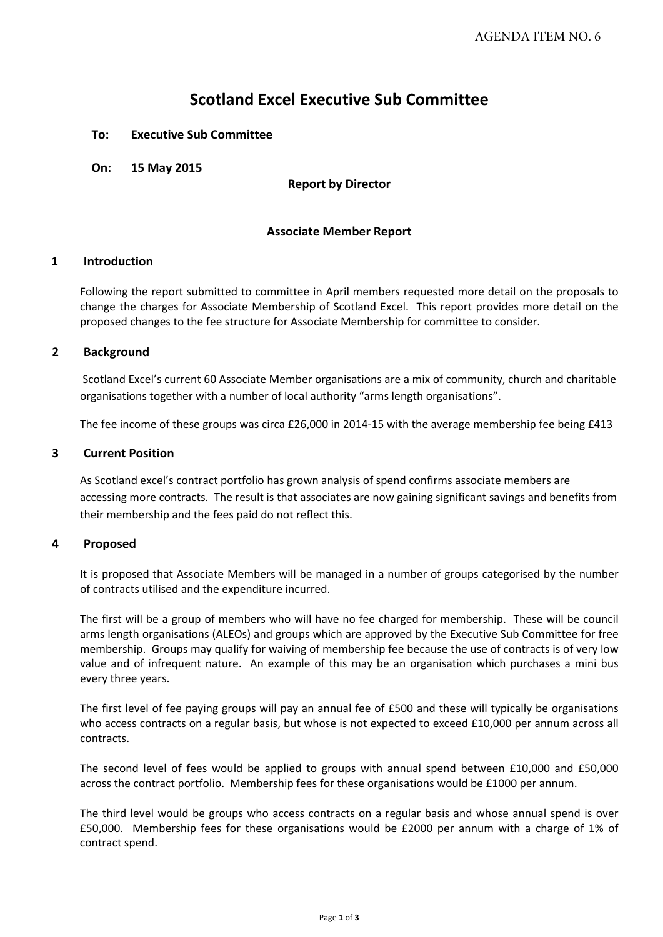# **Scotland Excel Executive Sub Committee**

# **To: Executive Sub Committee**

**On: 15 May 2015**

### **Report by Director**

# **Associate Member Report**

# **1 Introduction**

Following the report submitted to committee in April members requested more detail on the proposals to change the charges for Associate Membership of Scotland Excel. This report provides more detail on the proposed changes to the fee structure for Associate Membership for committee to consider.

#### **2 Background**

Scotland Excel's current 60 Associate Member organisations are a mix of community, church and charitable organisations together with a number of local authority "arms length organisations".

The fee income of these groups was circa £26,000 in 2014‐15 with the average membership fee being £413

#### **3 Current Position**

As Scotland excel's contract portfolio has grown analysis of spend confirms associate members are accessing more contracts. The result is that associates are now gaining significant savings and benefits from their membership and the fees paid do not reflect this.

# **4 Proposed**

It is proposed that Associate Members will be managed in a number of groups categorised by the number of contracts utilised and the expenditure incurred.

The first will be a group of members who will have no fee charged for membership. These will be council arms length organisations (ALEOs) and groups which are approved by the Executive Sub Committee for free membership. Groups may qualify for waiving of membership fee because the use of contracts is of very low value and of infrequent nature. An example of this may be an organisation which purchases a mini bus every three years.

The first level of fee paying groups will pay an annual fee of £500 and these will typically be organisations who access contracts on a regular basis, but whose is not expected to exceed £10,000 per annum across all contracts.

The second level of fees would be applied to groups with annual spend between £10,000 and £50,000 across the contract portfolio. Membership fees for these organisations would be £1000 per annum.

The third level would be groups who access contracts on a regular basis and whose annual spend is over £50,000. Membership fees for these organisations would be £2000 per annum with a charge of 1% of contract spend.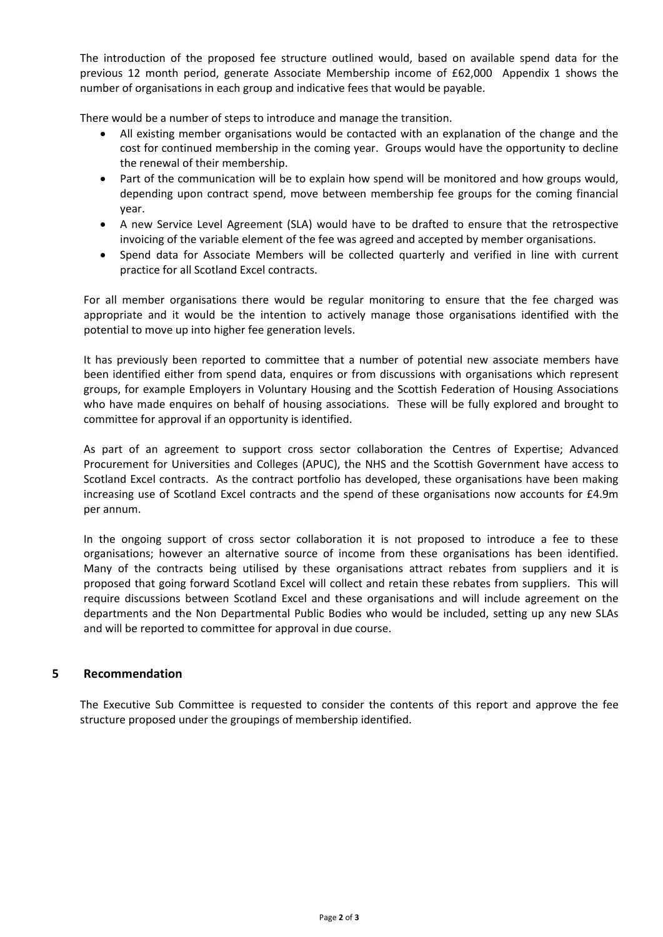The introduction of the proposed fee structure outlined would, based on available spend data for the previous 12 month period, generate Associate Membership income of £62,000 Appendix 1 shows the number of organisations in each group and indicative fees that would be payable.

There would be a number of steps to introduce and manage the transition.

- All existing member organisations would be contacted with an explanation of the change and the cost for continued membership in the coming year. Groups would have the opportunity to decline the renewal of their membership.
- Part of the communication will be to explain how spend will be monitored and how groups would, depending upon contract spend, move between membership fee groups for the coming financial year.
- A new Service Level Agreement (SLA) would have to be drafted to ensure that the retrospective invoicing of the variable element of the fee was agreed and accepted by member organisations.
- Spend data for Associate Members will be collected quarterly and verified in line with current practice for all Scotland Excel contracts.

For all member organisations there would be regular monitoring to ensure that the fee charged was appropriate and it would be the intention to actively manage those organisations identified with the potential to move up into higher fee generation levels.

It has previously been reported to committee that a number of potential new associate members have been identified either from spend data, enquires or from discussions with organisations which represent groups, for example Employers in Voluntary Housing and the Scottish Federation of Housing Associations who have made enquires on behalf of housing associations. These will be fully explored and brought to committee for approval if an opportunity is identified.

As part of an agreement to support cross sector collaboration the Centres of Expertise; Advanced Procurement for Universities and Colleges (APUC), the NHS and the Scottish Government have access to Scotland Excel contracts. As the contract portfolio has developed, these organisations have been making increasing use of Scotland Excel contracts and the spend of these organisations now accounts for £4.9m per annum.

In the ongoing support of cross sector collaboration it is not proposed to introduce a fee to these organisations; however an alternative source of income from these organisations has been identified. Many of the contracts being utilised by these organisations attract rebates from suppliers and it is proposed that going forward Scotland Excel will collect and retain these rebates from suppliers. This will require discussions between Scotland Excel and these organisations and will include agreement on the departments and the Non Departmental Public Bodies who would be included, setting up any new SLAs and will be reported to committee for approval in due course.

# **5 Recommendation**

The Executive Sub Committee is requested to consider the contents of this report and approve the fee structure proposed under the groupings of membership identified.